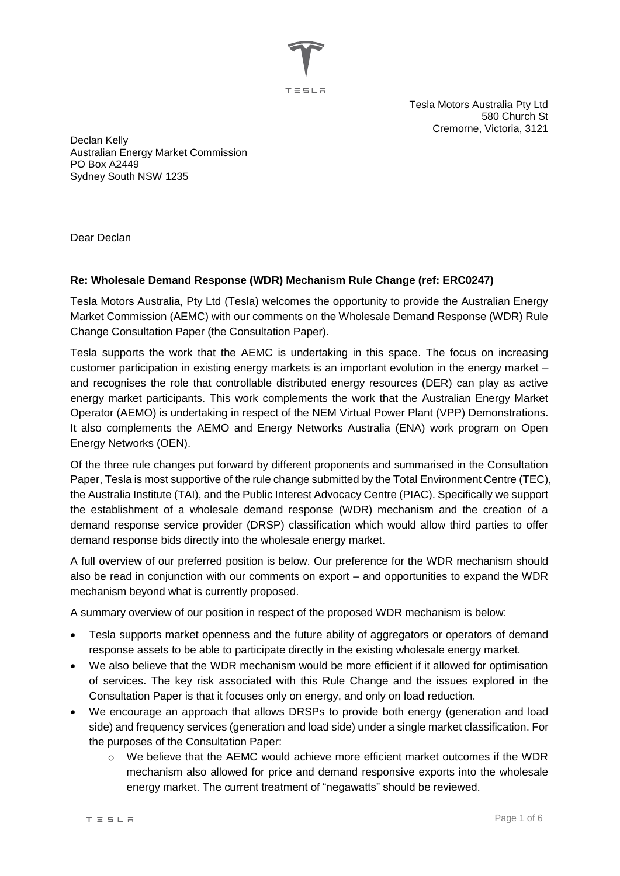

Tesla Motors Australia Pty Ltd 580 Church St Cremorne, Victoria, 3121

Declan Kelly Australian Energy Market Commission PO Box A2449 Sydney South NSW 1235

Dear Declan

# **Re: Wholesale Demand Response (WDR) Mechanism Rule Change (ref: ERC0247)**

Tesla Motors Australia, Pty Ltd (Tesla) welcomes the opportunity to provide the Australian Energy Market Commission (AEMC) with our comments on the Wholesale Demand Response (WDR) Rule Change Consultation Paper (the Consultation Paper).

Tesla supports the work that the AEMC is undertaking in this space. The focus on increasing customer participation in existing energy markets is an important evolution in the energy market – and recognises the role that controllable distributed energy resources (DER) can play as active energy market participants. This work complements the work that the Australian Energy Market Operator (AEMO) is undertaking in respect of the NEM Virtual Power Plant (VPP) Demonstrations. It also complements the AEMO and Energy Networks Australia (ENA) work program on Open Energy Networks (OEN).

Of the three rule changes put forward by different proponents and summarised in the Consultation Paper, Tesla is most supportive of the rule change submitted by the Total Environment Centre (TEC), the Australia Institute (TAI), and the Public Interest Advocacy Centre (PIAC). Specifically we support the establishment of a wholesale demand response (WDR) mechanism and the creation of a demand response service provider (DRSP) classification which would allow third parties to offer demand response bids directly into the wholesale energy market.

A full overview of our preferred position is below. Our preference for the WDR mechanism should also be read in conjunction with our comments on export – and opportunities to expand the WDR mechanism beyond what is currently proposed.

A summary overview of our position in respect of the proposed WDR mechanism is below:

- Tesla supports market openness and the future ability of aggregators or operators of demand response assets to be able to participate directly in the existing wholesale energy market.
- We also believe that the WDR mechanism would be more efficient if it allowed for optimisation of services. The key risk associated with this Rule Change and the issues explored in the Consultation Paper is that it focuses only on energy, and only on load reduction.
- We encourage an approach that allows DRSPs to provide both energy (generation and load side) and frequency services (generation and load side) under a single market classification. For the purposes of the Consultation Paper:
	- o We believe that the AEMC would achieve more efficient market outcomes if the WDR mechanism also allowed for price and demand responsive exports into the wholesale energy market. The current treatment of "negawatts" should be reviewed.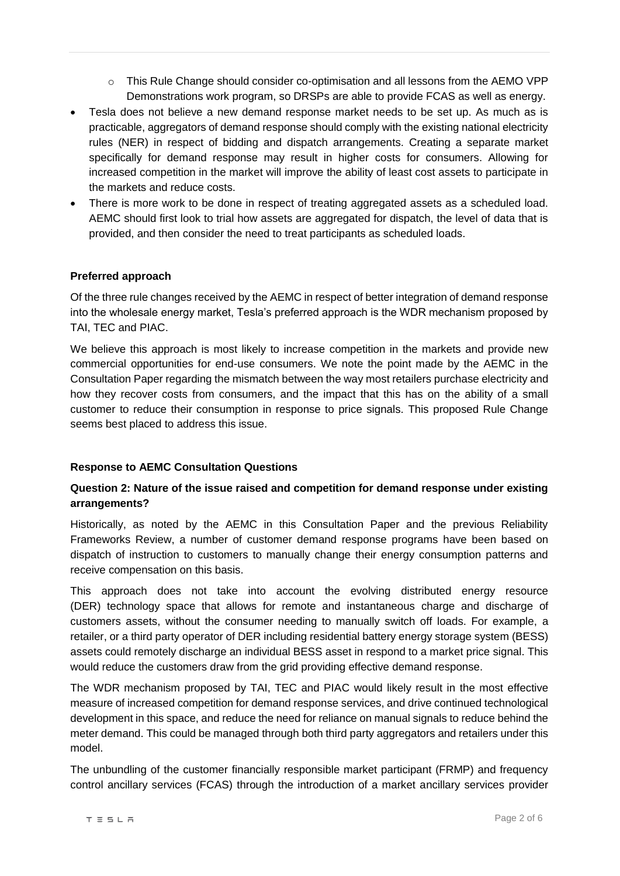- $\circ$  This Rule Change should consider co-optimisation and all lessons from the AEMO VPP Demonstrations work program, so DRSPs are able to provide FCAS as well as energy.
- Tesla does not believe a new demand response market needs to be set up. As much as is practicable, aggregators of demand response should comply with the existing national electricity rules (NER) in respect of bidding and dispatch arrangements. Creating a separate market specifically for demand response may result in higher costs for consumers. Allowing for increased competition in the market will improve the ability of least cost assets to participate in the markets and reduce costs.
- There is more work to be done in respect of treating aggregated assets as a scheduled load. AEMC should first look to trial how assets are aggregated for dispatch, the level of data that is provided, and then consider the need to treat participants as scheduled loads.

#### **Preferred approach**

Of the three rule changes received by the AEMC in respect of better integration of demand response into the wholesale energy market, Tesla's preferred approach is the WDR mechanism proposed by TAI, TEC and PIAC.

We believe this approach is most likely to increase competition in the markets and provide new commercial opportunities for end-use consumers. We note the point made by the AEMC in the Consultation Paper regarding the mismatch between the way most retailers purchase electricity and how they recover costs from consumers, and the impact that this has on the ability of a small customer to reduce their consumption in response to price signals. This proposed Rule Change seems best placed to address this issue.

#### **Response to AEMC Consultation Questions**

# **Question 2: Nature of the issue raised and competition for demand response under existing arrangements?**

Historically, as noted by the AEMC in this Consultation Paper and the previous Reliability Frameworks Review, a number of customer demand response programs have been based on dispatch of instruction to customers to manually change their energy consumption patterns and receive compensation on this basis.

This approach does not take into account the evolving distributed energy resource (DER) technology space that allows for remote and instantaneous charge and discharge of customers assets, without the consumer needing to manually switch off loads. For example, a retailer, or a third party operator of DER including residential battery energy storage system (BESS) assets could remotely discharge an individual BESS asset in respond to a market price signal. This would reduce the customers draw from the grid providing effective demand response.

The WDR mechanism proposed by TAI, TEC and PIAC would likely result in the most effective measure of increased competition for demand response services, and drive continued technological development in this space, and reduce the need for reliance on manual signals to reduce behind the meter demand. This could be managed through both third party aggregators and retailers under this model.

The unbundling of the customer financially responsible market participant (FRMP) and frequency control ancillary services (FCAS) through the introduction of a market ancillary services provider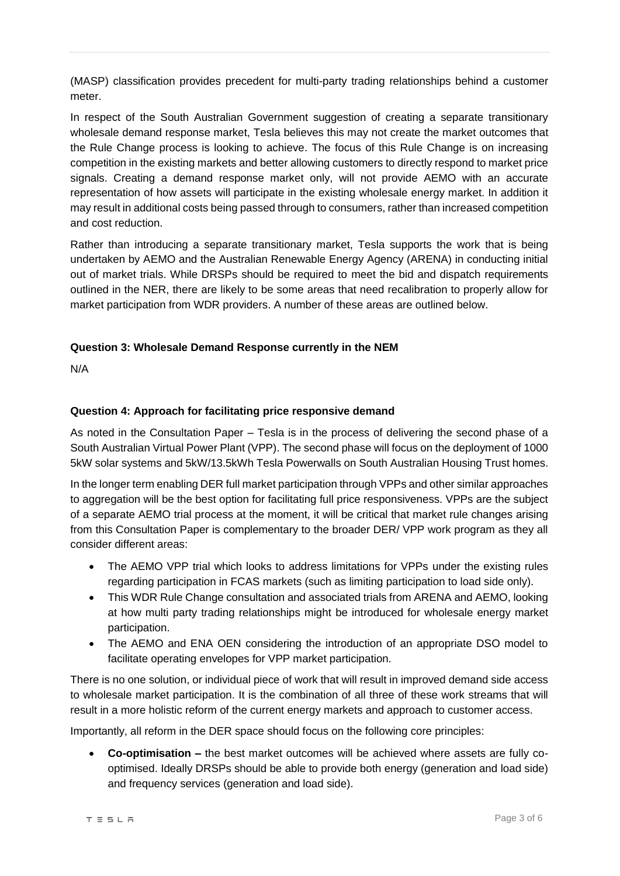(MASP) classification provides precedent for multi-party trading relationships behind a customer meter.

In respect of the South Australian Government suggestion of creating a separate transitionary wholesale demand response market, Tesla believes this may not create the market outcomes that the Rule Change process is looking to achieve. The focus of this Rule Change is on increasing competition in the existing markets and better allowing customers to directly respond to market price signals. Creating a demand response market only, will not provide AEMO with an accurate representation of how assets will participate in the existing wholesale energy market. In addition it may result in additional costs being passed through to consumers, rather than increased competition and cost reduction.

Rather than introducing a separate transitionary market, Tesla supports the work that is being undertaken by AEMO and the Australian Renewable Energy Agency (ARENA) in conducting initial out of market trials. While DRSPs should be required to meet the bid and dispatch requirements outlined in the NER, there are likely to be some areas that need recalibration to properly allow for market participation from WDR providers. A number of these areas are outlined below.

# **Question 3: Wholesale Demand Response currently in the NEM**

N/A

#### **Question 4: Approach for facilitating price responsive demand**

As noted in the Consultation Paper – Tesla is in the process of delivering the second phase of a South Australian Virtual Power Plant (VPP). The second phase will focus on the deployment of 1000 5kW solar systems and 5kW/13.5kWh Tesla Powerwalls on South Australian Housing Trust homes.

In the longer term enabling DER full market participation through VPPs and other similar approaches to aggregation will be the best option for facilitating full price responsiveness. VPPs are the subject of a separate AEMO trial process at the moment, it will be critical that market rule changes arising from this Consultation Paper is complementary to the broader DER/ VPP work program as they all consider different areas:

- The AEMO VPP trial which looks to address limitations for VPPs under the existing rules regarding participation in FCAS markets (such as limiting participation to load side only).
- This WDR Rule Change consultation and associated trials from ARENA and AEMO, looking at how multi party trading relationships might be introduced for wholesale energy market participation.
- The AEMO and ENA OEN considering the introduction of an appropriate DSO model to facilitate operating envelopes for VPP market participation.

There is no one solution, or individual piece of work that will result in improved demand side access to wholesale market participation. It is the combination of all three of these work streams that will result in a more holistic reform of the current energy markets and approach to customer access.

Importantly, all reform in the DER space should focus on the following core principles:

 **Co-optimisation –** the best market outcomes will be achieved where assets are fully cooptimised. Ideally DRSPs should be able to provide both energy (generation and load side) and frequency services (generation and load side).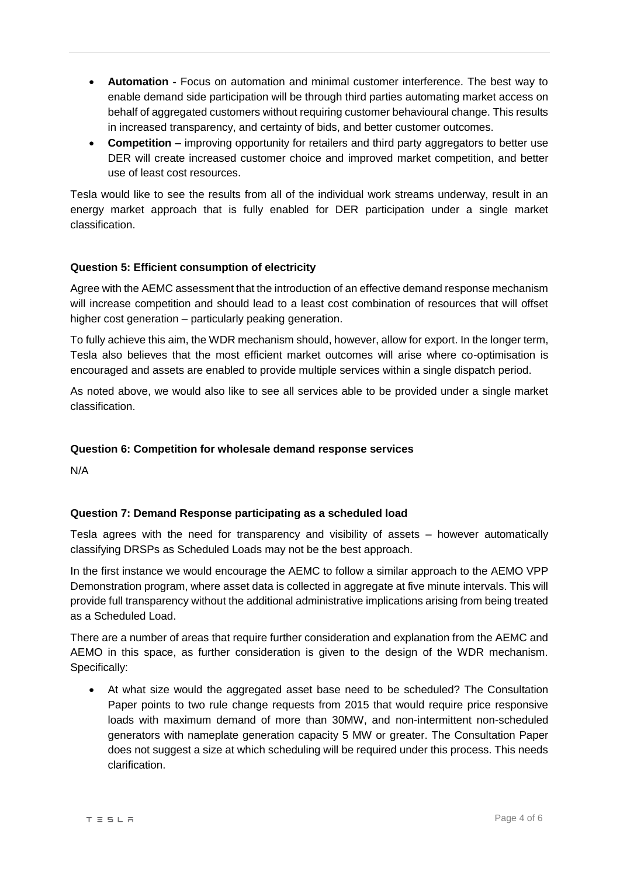- **Automation -** Focus on automation and minimal customer interference. The best way to enable demand side participation will be through third parties automating market access on behalf of aggregated customers without requiring customer behavioural change. This results in increased transparency, and certainty of bids, and better customer outcomes.
- Competition improving opportunity for retailers and third party aggregators to better use DER will create increased customer choice and improved market competition, and better use of least cost resources.

Tesla would like to see the results from all of the individual work streams underway, result in an energy market approach that is fully enabled for DER participation under a single market classification.

# **Question 5: Efficient consumption of electricity**

Agree with the AEMC assessment that the introduction of an effective demand response mechanism will increase competition and should lead to a least cost combination of resources that will offset higher cost generation – particularly peaking generation.

To fully achieve this aim, the WDR mechanism should, however, allow for export. In the longer term, Tesla also believes that the most efficient market outcomes will arise where co-optimisation is encouraged and assets are enabled to provide multiple services within a single dispatch period.

As noted above, we would also like to see all services able to be provided under a single market classification.

# **Question 6: Competition for wholesale demand response services**

N/A

# **Question 7: Demand Response participating as a scheduled load**

Tesla agrees with the need for transparency and visibility of assets – however automatically classifying DRSPs as Scheduled Loads may not be the best approach.

In the first instance we would encourage the AEMC to follow a similar approach to the AEMO VPP Demonstration program, where asset data is collected in aggregate at five minute intervals. This will provide full transparency without the additional administrative implications arising from being treated as a Scheduled Load.

There are a number of areas that require further consideration and explanation from the AEMC and AEMO in this space, as further consideration is given to the design of the WDR mechanism. Specifically:

 At what size would the aggregated asset base need to be scheduled? The Consultation Paper points to two rule change requests from 2015 that would require price responsive loads with maximum demand of more than 30MW, and non-intermittent non-scheduled generators with nameplate generation capacity 5 MW or greater. The Consultation Paper does not suggest a size at which scheduling will be required under this process. This needs clarification.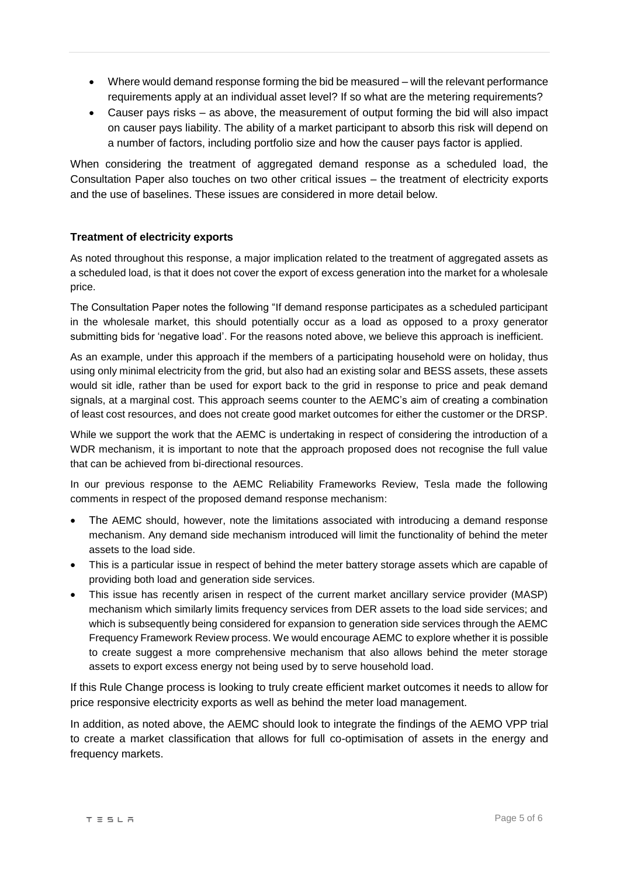- Where would demand response forming the bid be measured will the relevant performance requirements apply at an individual asset level? If so what are the metering requirements?
- Causer pays risks as above, the measurement of output forming the bid will also impact on causer pays liability. The ability of a market participant to absorb this risk will depend on a number of factors, including portfolio size and how the causer pays factor is applied.

When considering the treatment of aggregated demand response as a scheduled load, the Consultation Paper also touches on two other critical issues – the treatment of electricity exports and the use of baselines. These issues are considered in more detail below.

#### **Treatment of electricity exports**

As noted throughout this response, a major implication related to the treatment of aggregated assets as a scheduled load, is that it does not cover the export of excess generation into the market for a wholesale price.

The Consultation Paper notes the following "If demand response participates as a scheduled participant in the wholesale market, this should potentially occur as a load as opposed to a proxy generator submitting bids for 'negative load'. For the reasons noted above, we believe this approach is inefficient.

As an example, under this approach if the members of a participating household were on holiday, thus using only minimal electricity from the grid, but also had an existing solar and BESS assets, these assets would sit idle, rather than be used for export back to the grid in response to price and peak demand signals, at a marginal cost. This approach seems counter to the AEMC's aim of creating a combination of least cost resources, and does not create good market outcomes for either the customer or the DRSP.

While we support the work that the AEMC is undertaking in respect of considering the introduction of a WDR mechanism, it is important to note that the approach proposed does not recognise the full value that can be achieved from bi-directional resources.

In our previous response to the AEMC Reliability Frameworks Review, Tesla made the following comments in respect of the proposed demand response mechanism:

- The AEMC should, however, note the limitations associated with introducing a demand response mechanism. Any demand side mechanism introduced will limit the functionality of behind the meter assets to the load side.
- This is a particular issue in respect of behind the meter battery storage assets which are capable of providing both load and generation side services.
- This issue has recently arisen in respect of the current market ancillary service provider (MASP) mechanism which similarly limits frequency services from DER assets to the load side services; and which is subsequently being considered for expansion to generation side services through the AEMC Frequency Framework Review process. We would encourage AEMC to explore whether it is possible to create suggest a more comprehensive mechanism that also allows behind the meter storage assets to export excess energy not being used by to serve household load.

If this Rule Change process is looking to truly create efficient market outcomes it needs to allow for price responsive electricity exports as well as behind the meter load management.

In addition, as noted above, the AEMC should look to integrate the findings of the AEMO VPP trial to create a market classification that allows for full co-optimisation of assets in the energy and frequency markets.